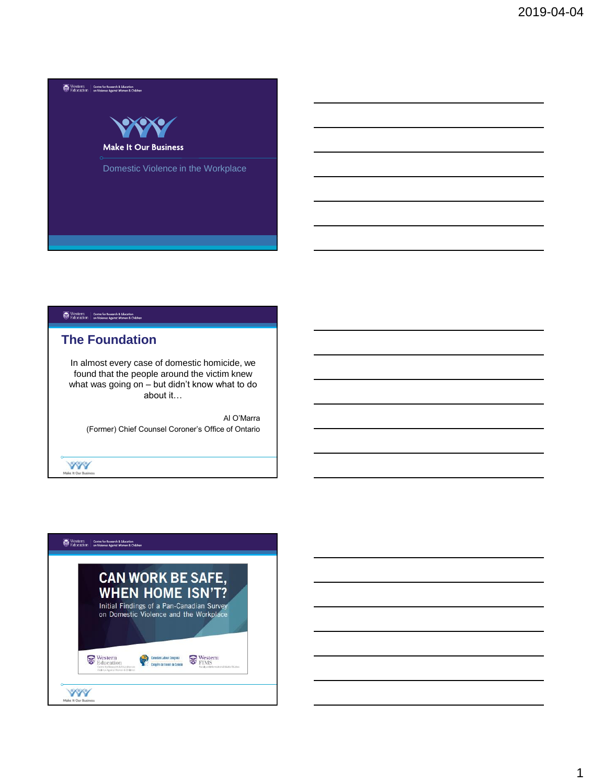

# **The Foundation**

In almost every case of domestic homicide, we found that the people around the victim knew what was going on – but didn't know what to do about it…

Al O'Marra (Former) Chief Counsel Coroner's Office of Ontario

**XXX** Make It Our Busine

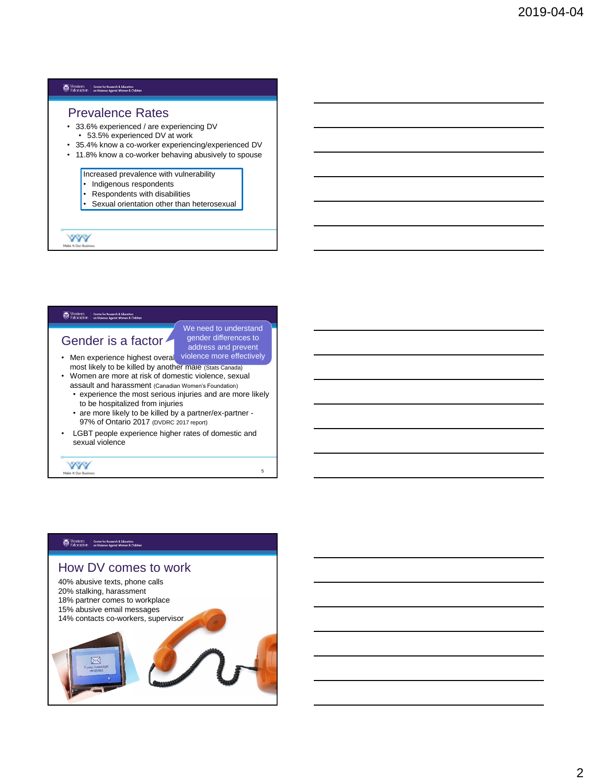#### Prevalence Rates

- 33.6% experienced / are experiencing DV
	- 53.5% experienced DV at work
- 35.4% know a co-worker experiencing/experienced DV
- 11.8% know a co-worker behaving abusively to spouse

Increased prevalence with vulnerability

- Indigenous respondents
- Respondents with disabilities
- Sexual orientation other than heterosexual

**YYY** 

#### Western | Centre for Research & Education<br>|->> Education | on Violence Against Women & Childr

# Gender is a factor

We need to understand gender differences to address and prevent

5

- Men experience highest overal violence more effectively most likely to be killed by another male (Stats Canada) • Women are more at risk of domestic violence, sexual
- assault and harassment (Canadian Women's Foundation)
	- experience the most serious injuries and are more likely to be hospitalized from injuries
	- are more likely to be killed by a partner/ex-partner 97% of Ontario 2017 (DVDRC 2017 report)
- LGBT people experience higher rates of domestic and sexual violence

# Western | Centre for Research & Education<br>| Education | on Violence Against Women & Children

**YYY** Make It Our Busin

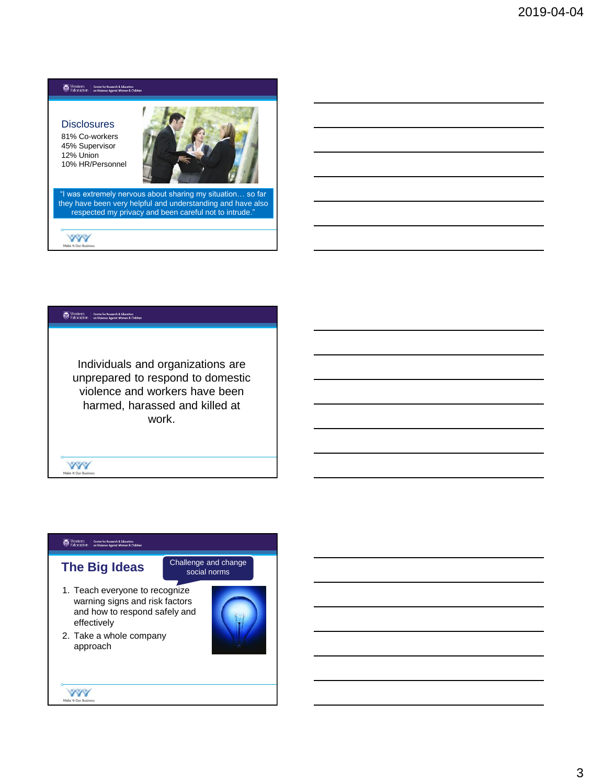**Disclosures** 81% Co-workers 45% Supervisor 12% Union 10% HR/Personnel



"I was extremely nervous about sharing my situation… so far they have been very helpful and understanding and have also respected my privacy and been careful not to intrude."

**YYY** 

# Western | Centre for Research & Education<br>| Education | on Violence Against Women & Children

Individuals and organizations are unprepared to respond to domestic violence and workers have been harmed, harassed and killed at work.

### Western | Centre for Research & Education<br>| Education | on Violence Against Women & Children

**YYY** Make It Our Busin

# **The Big Ideas**

Challenge and change social norms

- 1. Teach everyone to recognize warning signs and risk factors and how to respond safely and effectively
- 2. Take a whole company approach

**YYY** 

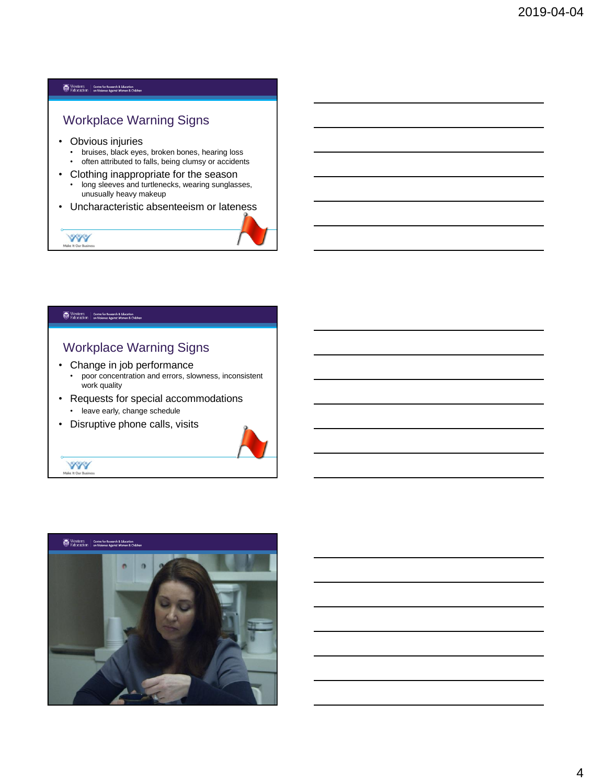# Workplace Warning Signs

- Obvious injuries
	- bruises, black eyes, broken bones, hearing loss
	- often attributed to falls, being clumsy or accidents
- Clothing inappropriate for the season
	- long sleeves and turtlenecks, wearing sunglasses, unusually heavy makeup
- Uncharacteristic absenteeism or lateness



#### Western | Centre for Research & Education<br>| Education | on Violence Against Women & Children

**AMA Male** 

**YYY** Make It Our Busin

# Workplace Warning Signs

- Change in job performance
	- poor concentration and errors, slowness, inconsistent work quality
- Requests for special accommodations • leave early, change schedule
- Disruptive phone calls, visits



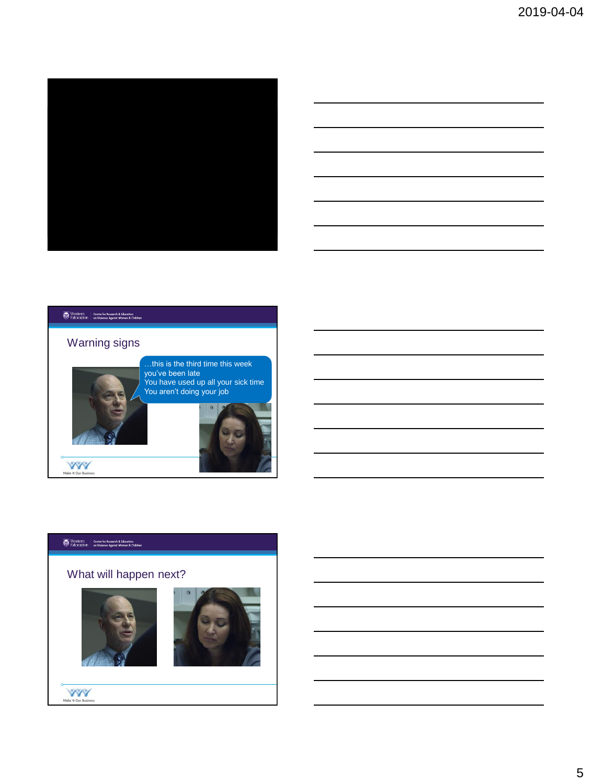



# Western | Centre for Research & Education<br>| Education | on Violence Against Women & Children Warning signs …this is the third time this week you've been late You have used up all your sick time You aren't doing your job

# $\begin{tabular}{|c|c|} \hline \textbf{Western} & Centre for Research & Education \\ \hline \textbf{E}ducation & on Voice against Women & Children \\ \hline \end{tabular}$

 $\begin{picture}(20,10) \put(0,0){\line(1,0){155}} \put(15,0){\line(1,0){155}} \put(15,0){\line(1,0){155}} \put(15,0){\line(1,0){155}} \put(15,0){\line(1,0){155}} \put(15,0){\line(1,0){155}} \put(15,0){\line(1,0){155}} \put(15,0){\line(1,0){155}} \put(15,0){\line(1,0){155}} \put(15,0){\line(1,0){155}} \put(15,0){\line(1,0){155}} \$ 

# What will happen next?





```
WWW.
```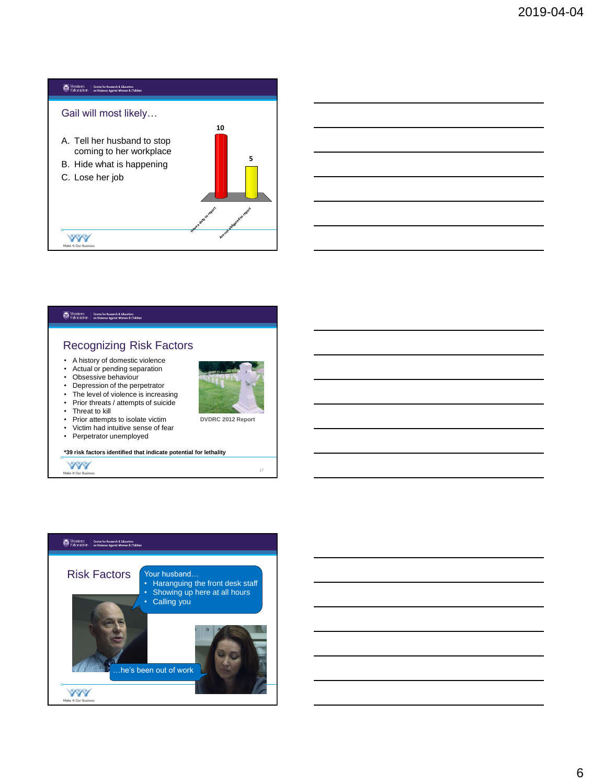



17

• Perpetrator unemployed

**\*39 risk factors identified that indicate potential for lethality**

**YYY** Make It Our Busine

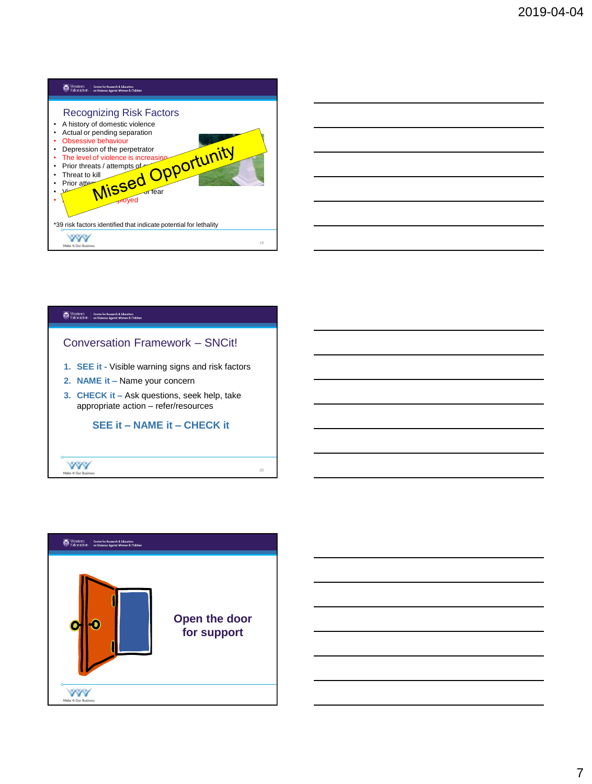





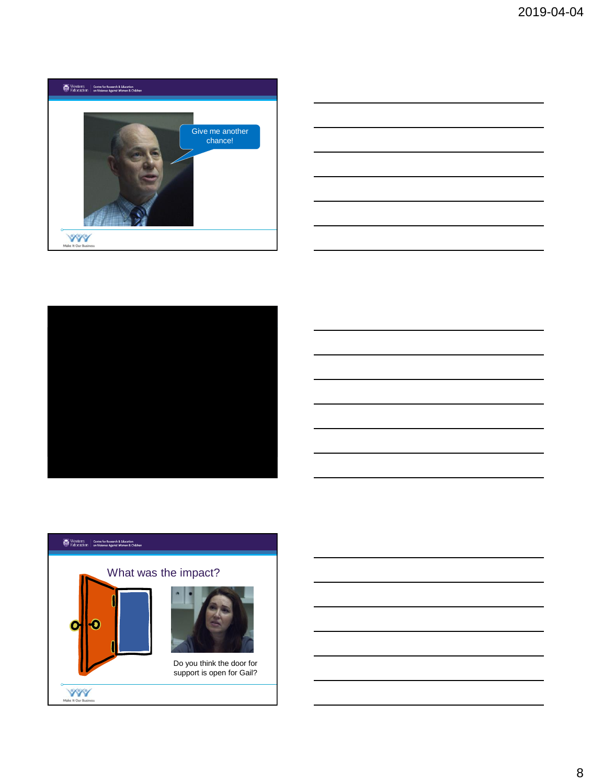







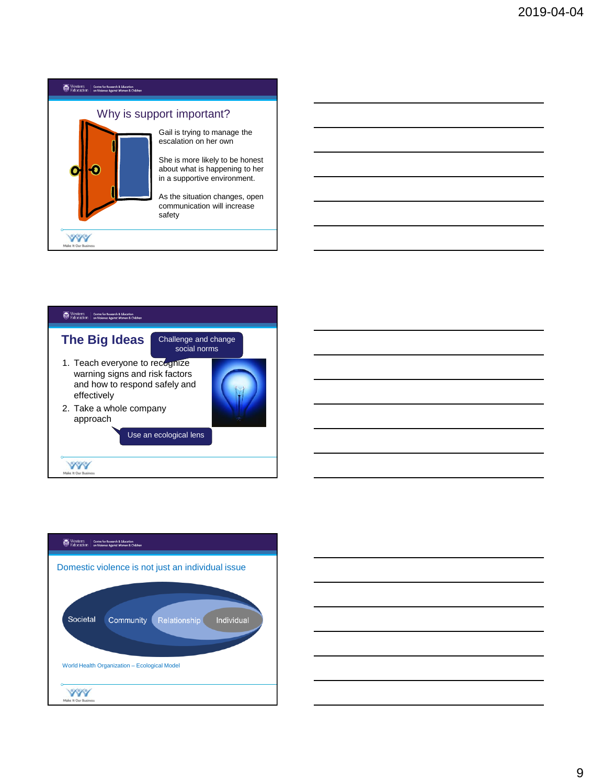





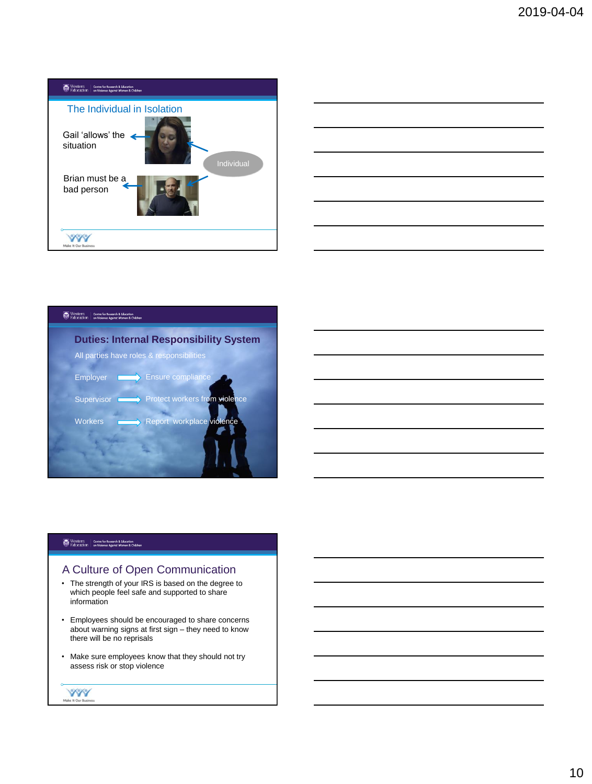





# A Culture of Open Communication

- The strength of your IRS is based on the degree to which people feel safe and supported to share information
- Employees should be encouraged to share concerns about warning signs at first sign – they need to know there will be no reprisals
- Make sure employees know that they should not try assess risk or stop violence

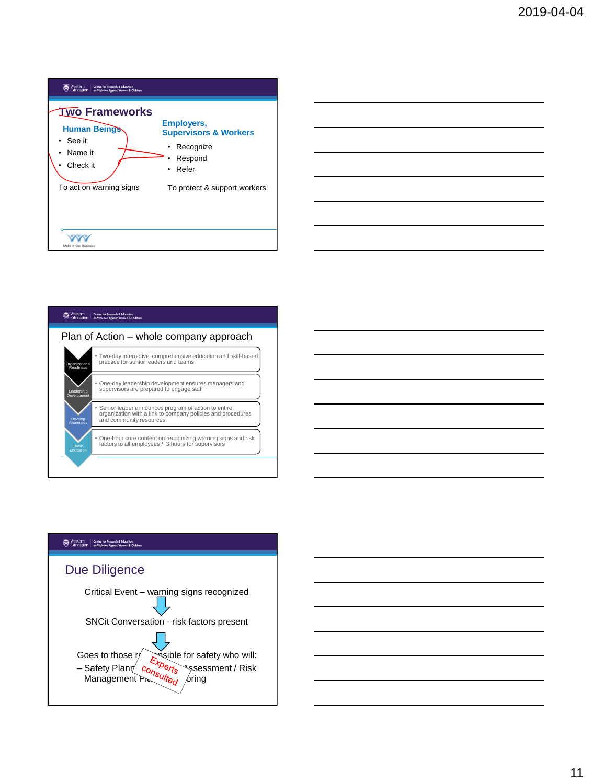





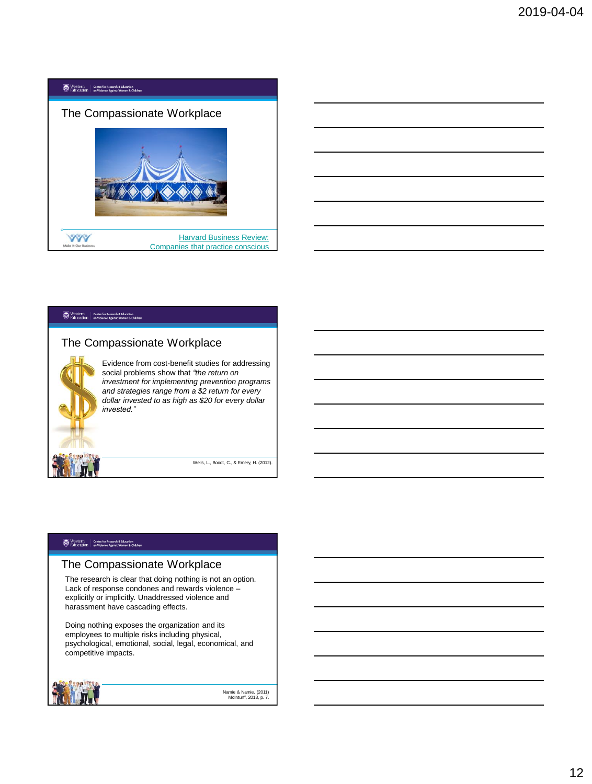



# The Compassionate Workplace

Evidence from cost-benefit studies for addressing social problems show that *"the return on investment for implementing prevention programs and strategies range from a \$2 return for every dollar invested to as high as \$20 for every dollar invested."* 

Wells, L., Boodt, C., & Emery, H. (2012).

## Western | Centre for Research & Education<br>| Education | on Violence Against Women & Children

# The Compassionate Workplace

The research is clear that doing nothing is not an option. Lack of response condones and rewards violence – explicitly or implicitly. Unaddressed violence and harassment have cascading effects.

Doing nothing exposes the organization and its employees to multiple risks including physical, psychological, emotional, social, legal, economical, and competitive impacts.



Namie & Namie, (2011) McInturff, 2013, p. 7.